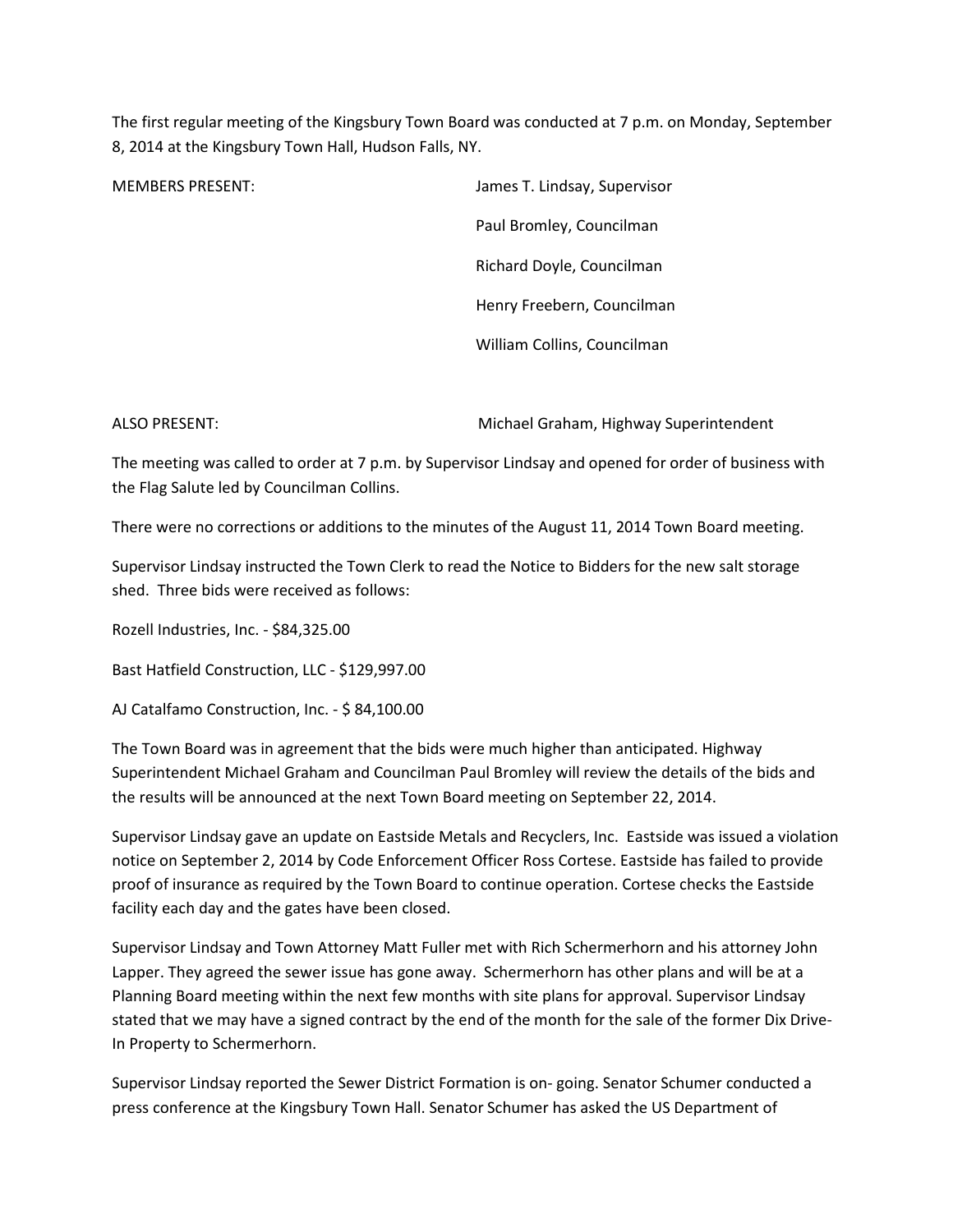The first regular meeting of the Kingsbury Town Board was conducted at 7 p.m. on Monday, September 8, 2014 at the Kingsbury Town Hall, Hudson Falls, NY.

MEMBERS PRESENT: James T. Lindsay, Supervisor Paul Bromley, Councilman Richard Doyle, Councilman Henry Freebern, Councilman William Collins, Councilman

ALSO PRESENT: Michael Graham, Highway Superintendent

The meeting was called to order at 7 p.m. by Supervisor Lindsay and opened for order of business with the Flag Salute led by Councilman Collins.

There were no corrections or additions to the minutes of the August 11, 2014 Town Board meeting.

Supervisor Lindsay instructed the Town Clerk to read the Notice to Bidders for the new salt storage shed. Three bids were received as follows:

Rozell Industries, Inc. - \$84,325.00

Bast Hatfield Construction, LLC - \$129,997.00

AJ Catalfamo Construction, Inc. - \$ 84,100.00

The Town Board was in agreement that the bids were much higher than anticipated. Highway Superintendent Michael Graham and Councilman Paul Bromley will review the details of the bids and the results will be announced at the next Town Board meeting on September 22, 2014.

Supervisor Lindsay gave an update on Eastside Metals and Recyclers, Inc. Eastside was issued a violation notice on September 2, 2014 by Code Enforcement Officer Ross Cortese. Eastside has failed to provide proof of insurance as required by the Town Board to continue operation. Cortese checks the Eastside facility each day and the gates have been closed.

Supervisor Lindsay and Town Attorney Matt Fuller met with Rich Schermerhorn and his attorney John Lapper. They agreed the sewer issue has gone away. Schermerhorn has other plans and will be at a Planning Board meeting within the next few months with site plans for approval. Supervisor Lindsay stated that we may have a signed contract by the end of the month for the sale of the former Dix Drive-In Property to Schermerhorn.

Supervisor Lindsay reported the Sewer District Formation is on- going. Senator Schumer conducted a press conference at the Kingsbury Town Hall. Senator Schumer has asked the US Department of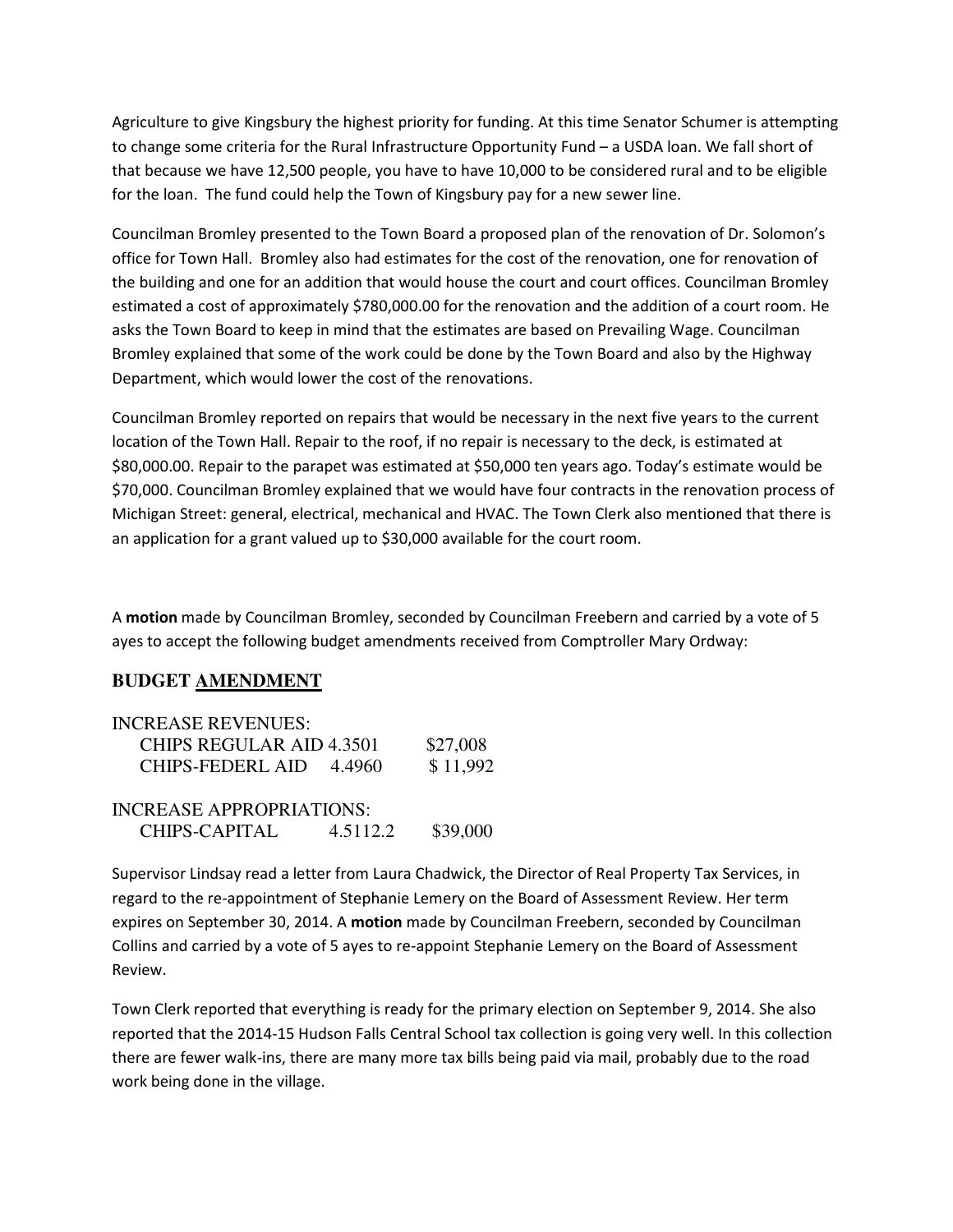Agriculture to give Kingsbury the highest priority for funding. At this time Senator Schumer is attempting to change some criteria for the Rural Infrastructure Opportunity Fund – a USDA loan. We fall short of that because we have 12,500 people, you have to have 10,000 to be considered rural and to be eligible for the loan. The fund could help the Town of Kingsbury pay for a new sewer line.

Councilman Bromley presented to the Town Board a proposed plan of the renovation of Dr. Solomon's office for Town Hall. Bromley also had estimates for the cost of the renovation, one for renovation of the building and one for an addition that would house the court and court offices. Councilman Bromley estimated a cost of approximately \$780,000.00 for the renovation and the addition of a court room. He asks the Town Board to keep in mind that the estimates are based on Prevailing Wage. Councilman Bromley explained that some of the work could be done by the Town Board and also by the Highway Department, which would lower the cost of the renovations.

Councilman Bromley reported on repairs that would be necessary in the next five years to the current location of the Town Hall. Repair to the roof, if no repair is necessary to the deck, is estimated at \$80,000.00. Repair to the parapet was estimated at \$50,000 ten years ago. Today's estimate would be \$70,000. Councilman Bromley explained that we would have four contracts in the renovation process of Michigan Street: general, electrical, mechanical and HVAC. The Town Clerk also mentioned that there is an application for a grant valued up to \$30,000 available for the court room.

A motion made by Councilman Bromley, seconded by Councilman Freebern and carried by a vote of 5 ayes to accept the following budget amendments received from Comptroller Mary Ordway:

## **BUDGET AMENDMENT**

| <b>INCREASE REVENUES:</b>       |          |
|---------------------------------|----------|
| <b>CHIPS REGULAR AID 4.3501</b> | \$27,008 |
| CHIPS-FEDERL AID 4.4960         | \$11,992 |
| <b>INCREASE APPROPRIATIONS:</b> |          |

CHIPS-CAPITAL 4.5112.2 \$39,000

Supervisor Lindsay read a letter from Laura Chadwick, the Director of Real Property Tax Services, in regard to the re-appointment of Stephanie Lemery on the Board of Assessment Review. Her term expires on September 30, 2014. A motion made by Councilman Freebern, seconded by Councilman Collins and carried by a vote of 5 ayes to re-appoint Stephanie Lemery on the Board of Assessment Review.

Town Clerk reported that everything is ready for the primary election on September 9, 2014. She also reported that the 2014-15 Hudson Falls Central School tax collection is going very well. In this collection there are fewer walk-ins, there are many more tax bills being paid via mail, probably due to the road work being done in the village.